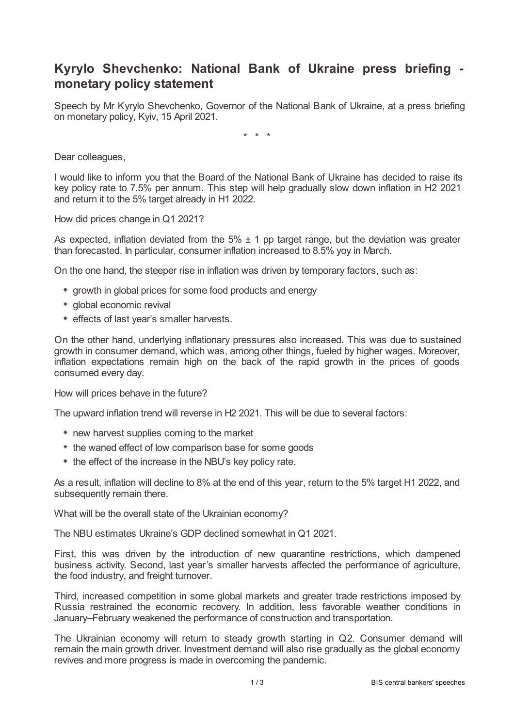## **Kyrylo Shevchenko: National Bank of Ukraine press briefing monetary policy statement**

Speech by Mr Kyrylo Shevchenko, Governor of the National Bank of Ukraine, at a press briefing on monetary policy, Kyiv, 15 April 2021.

\* \* \*

Dear colleagues,

I would like to inform you that the Board of the National Bank of Ukraine has decided to raise its key policy rate to 7.5% per annum. This step will help gradually slow down inflation in H2 2021 and return it to the 5% target already in H1 2022.

How did prices change in Q1 2021?

As expected, inflation deviated from the  $5\% \pm 1$  pp target range, but the deviation was greater than forecasted. In particular, consumer inflation increased to 8.5% yoy in March.

On the one hand, the steeper rise in inflation was driven by temporary factors, such as:

- growth in global prices for some food products and energy
- global economic revival
- effects of last year's smaller harvests.

On the other hand, underlying inflationary pressures also increased. This was due to sustained growth in consumer demand, which was, among other things, fueled by higher wages. Moreover, inflation expectations remain high on the back of the rapid growth in the prices of goods consumed every day.

How will prices behave in the future?

The upward inflation trend will reverse in H2 2021. This will be due to several factors:

- new harvest supplies coming to the market
- the waned effect of low comparison base for some goods
- $*$  the effect of the increase in the NBU's key policy rate.

As a result, inflation will decline to 8% at the end of this year, return to the 5% target H1 2022, and subsequently remain there.

What will be the overall state of the Ukrainian economy?

The NBU estimates Ukraine's GDP declined somewhat in Q1 2021.

First, this was driven by the introduction of new quarantine restrictions, which dampened business activity. Second, last year's smaller harvests affected the performance of agriculture, the food industry, and freight turnover.

Third, increased competition in some global markets and greater trade restrictions imposed by Russia restrained the economic recovery. In addition, less favorable weather conditions in January–February weakened the performance of construction and transportation.

The Ukrainian economy will return to steady growth starting in Q2. Consumer demand will remain the main growth driver. Investment demand will also rise gradually as the global economy revives and more progress is made in overcoming the pandemic.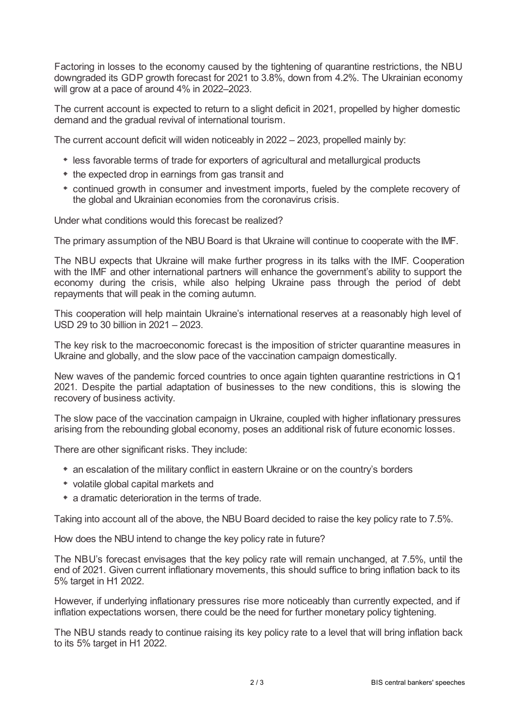Factoring in losses to the economy caused by the tightening of quarantine restrictions, the NBU downgraded its GDP growth forecast for 2021 to 3.8%, down from 4.2%. The Ukrainian economy will grow at a pace of around 4% in 2022–2023.

The current account is expected to return to a slight deficit in 2021, propelled by higher domestic demand and the gradual revival of international tourism.

The current account deficit will widen noticeably in 2022 – 2023, propelled mainly by:

- less favorable terms of trade for exporters of agricultural and metallurgical products
- $*$  the expected drop in earnings from gas transit and
- continued growth in consumer and investment imports, fueled by the complete recovery of the global and Ukrainian economies from the coronavirus crisis.

Under what conditions would this forecast be realized?

The primary assumption of the NBU Board is that Ukraine will continue to cooperate with the IMF.

The NBU expects that Ukraine will make further progress in its talks with the IMF. Cooperation with the IMF and other international partners will enhance the government's ability to support the economy during the crisis, while also helping Ukraine pass through the period of debt repayments that will peak in the coming autumn.

This cooperation will help maintain Ukraine's international reserves at a reasonably high level of USD 29 to 30 billion in 2021 – 2023.

The key risk to the macroeconomic forecast is the imposition of stricter quarantine measures in Ukraine and globally, and the slow pace of the vaccination campaign domestically.

New waves of the pandemic forced countries to once again tighten quarantine restrictions in Q1 2021. Despite the partial adaptation of businesses to the new conditions, this is slowing the recovery of business activity.

The slow pace of the vaccination campaign in Ukraine, coupled with higher inflationary pressures arising from the rebounding global economy, poses an additional risk of future economic losses.

There are other significant risks. They include:

- an escalation of the military conflict in eastern Ukraine or on the country's borders
- volatile global capital markets and
- a dramatic deterioration in the terms of trade.

Taking into account all of the above, the NBU Board decided to raise the key policy rate to 7.5%.

How does the NBU intend to change the key policy rate in future?

The NBU's forecast envisages that the key policy rate will remain unchanged, at 7.5%, until the end of 2021. Given current inflationary movements, this should suffice to bring inflation back to its 5% target in H1 2022.

However, if underlying inflationary pressures rise more noticeably than currently expected, and if inflation expectations worsen, there could be the need for further monetary policy tightening.

The NBU stands ready to continue raising its key policy rate to a level that will bring inflation back to its 5% target in H1 2022.